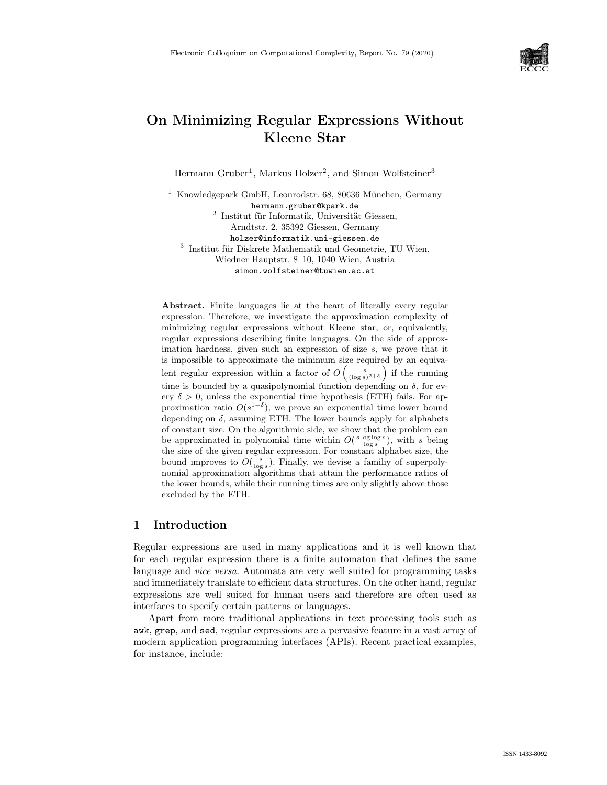

# On Minimizing Regular Expressions Without Kleene Star

Hermann Gruber<sup>1</sup>, Markus Holzer<sup>2</sup>, and Simon Wolfsteiner<sup>3</sup>

<sup>1</sup> Knowledgepark GmbH, Leonrodstr. 68, 80636 München, Germany hermann.gruber@kpark.de  $2$  Institut für Informatik, Universität Giessen,

Arndtstr. 2, 35392 Giessen, Germany holzer@informatik.uni-giessen.de

<sup>3</sup> Institut für Diskrete Mathematik und Geometrie, TU Wien, Wiedner Hauptstr. 8–10, 1040 Wien, Austria simon.wolfsteiner@tuwien.ac.at

Abstract. Finite languages lie at the heart of literally every regular expression. Therefore, we investigate the approximation complexity of minimizing regular expressions without Kleene star, or, equivalently, regular expressions describing finite languages. On the side of approximation hardness, given such an expression of size s, we prove that it is impossible to approximate the minimum size required by an equivalent regular expression within a factor of  $O\left(\frac{s}{(\log s)^{2+\delta}}\right)$  if the running time is bounded by a quasipolynomial function depending on  $\delta$ , for every  $\delta > 0$ , unless the exponential time hypothesis (ETH) fails. For approximation ratio  $O(s^{1-\delta})$ , we prove an exponential time lower bound depending on  $\delta$ , assuming ETH. The lower bounds apply for alphabets of constant size. On the algorithmic side, we show that the problem can be approximated in polynomial time within  $O(\frac{s \log \log s}{\log s})$ , with s being the size of the given regular expression. For constant alphabet size, the bound improves to  $O(\frac{s}{\log s})$ . Finally, we devise a familiy of superpolynomial approximation algorithms that attain the performance ratios of the lower bounds, while their running times are only slightly above those excluded by the ETH.

# 1 Introduction

Regular expressions are used in many applications and it is well known that for each regular expression there is a finite automaton that defines the same language and *vice versa*. Automata are very well suited for programming tasks and immediately translate to efficient data structures. On the other hand, regular expressions are well suited for human users and therefore are often used as interfaces to specify certain patterns or languages.

Apart from more traditional applications in text processing tools such as awk, grep, and sed, regular expressions are a pervasive feature in a vast array of modern application programming interfaces (APIs). Recent practical examples, for instance, include: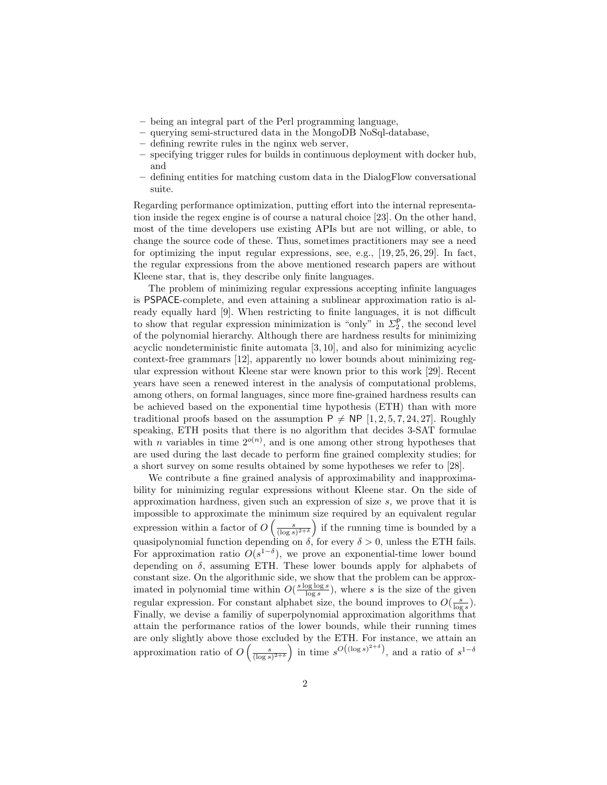- being an integral part of the Perl programming language,
- querying semi-structured data in the MongoDB NoSql-database,
- defining rewrite rules in the nginx web server,
- specifying trigger rules for builds in continuous deployment with docker hub, and
- defining entities for matching custom data in the DialogFlow conversational suite.

Regarding performance optimization, putting effort into the internal representation inside the regex engine is of course a natural choice [23]. On the other hand, most of the time developers use existing APIs but are not willing, or able, to change the source code of these. Thus, sometimes practitioners may see a need for optimizing the input regular expressions, see, e.g.,  $[19, 25, 26, 29]$ . In fact, the regular expressions from the above mentioned research papers are without Kleene star, that is, they describe only finite languages.

The problem of minimizing regular expressions accepting infinite languages is PSPACE-complete, and even attaining a sublinear approximation ratio is already equally hard [9]. When restricting to finite languages, it is not difficult to show that regular expression minimization is "only" in  $\Sigma_2^{\mathsf{P}},$  the second level of the polynomial hierarchy. Although there are hardness results for minimizing acyclic nondeterministic finite automata [3, 10], and also for minimizing acyclic context-free grammars [12], apparently no lower bounds about minimizing regular expression without Kleene star were known prior to this work [29]. Recent years have seen a renewed interest in the analysis of computational problems, among others, on formal languages, since more fine-grained hardness results can be achieved based on the exponential time hypothesis (ETH) than with more traditional proofs based on the assumption  $P \neq NP$  [1, 2, 5, 7, 24, 27]. Roughly speaking, ETH posits that there is no algorithm that decides 3-SAT formulae with *n* variables in time  $2^{o(n)}$ , and is one among other strong hypotheses that are used during the last decade to perform fine grained complexity studies; for a short survey on some results obtained by some hypotheses we refer to [28].

We contribute a fine grained analysis of approximability and inapproximability for minimizing regular expressions without Kleene star. On the side of approximation hardness, given such an expression of size s, we prove that it is impossible to approximate the minimum size required by an equivalent regular expression within a factor of  $O\left(\frac{s}{(\log s)^{2+\delta}}\right)$  if the running time is bounded by a quasipolynomial function depending on  $\delta$ , for every  $\delta > 0$ , unless the ETH fails. For approximation ratio  $O(s^{1-\delta})$ , we prove an exponential-time lower bound depending on  $\delta$ , assuming ETH. These lower bounds apply for alphabets of constant size. On the algorithmic side, we show that the problem can be approximated in polynomial time within  $O(\frac{s \log \log s}{\log s})$ , where s is the size of the given regular expression. For constant alphabet size, the bound improves to  $O(\frac{s}{\log s})$ . Finally, we devise a familiy of superpolynomial approximation algorithms that attain the performance ratios of the lower bounds, while their running times are only slightly above those excluded by the ETH. For instance, we attain an approximation ratio of  $O\left(\frac{s}{(\log s)^{2+\delta}}\right)$  in time  $s^{O((\log s)^{2+\delta})}$ , and a ratio of  $s^{1-\delta}$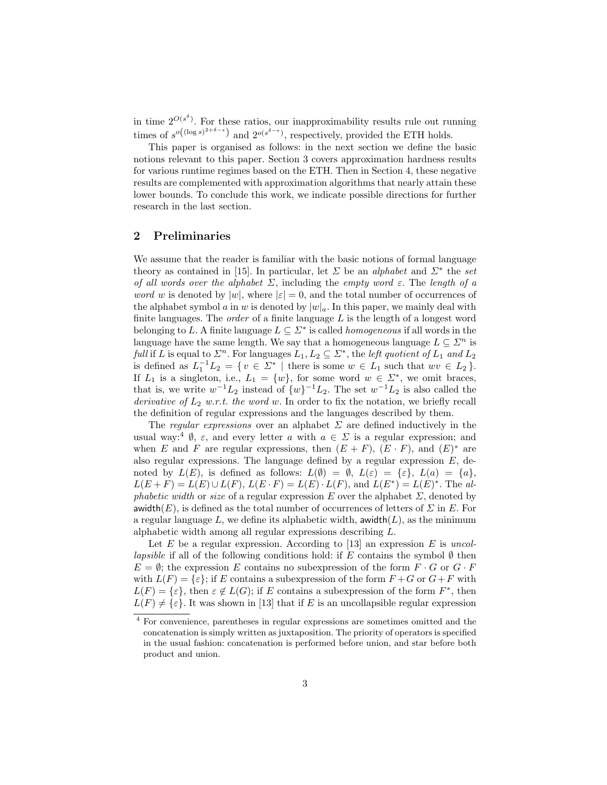in time  $2^{O(s^{\delta})}$ . For these ratios, our inapproximability results rule out running times of  $s^{o((\log s)^{2+\delta-\epsilon})}$  and  $2^{o(s^{\delta-\epsilon})}$ , respectively, provided the ETH holds.

This paper is organised as follows: in the next section we define the basic notions relevant to this paper. Section 3 covers approximation hardness results for various runtime regimes based on the ETH. Then in Section 4, these negative results are complemented with approximation algorithms that nearly attain these lower bounds. To conclude this work, we indicate possible directions for further research in the last section.

# 2 Preliminaries

We assume that the reader is familiar with the basic notions of formal language theory as contained in [15]. In particular, let  $\Sigma$  be an *alphabet* and  $\Sigma^*$  the set of all words over the alphabet  $\Sigma$ , including the empty word  $\varepsilon$ . The length of a *word w* is denoted by  $|w|$ , where  $|\varepsilon| = 0$ , and the total number of occurrences of the alphabet symbol a in w is denoted by  $|w|_a$ . In this paper, we mainly deal with finite languages. The *order* of a finite language  $L$  is the length of a longest word belonging to L. A finite language  $L \subseteq \Sigma^*$  is called *homogeneous* if all words in the language have the same length. We say that a homogeneous language  $L \subseteq \mathbb{Z}^n$  is full if L is equal to  $\Sigma^n$ . For languages  $L_1, L_2 \subseteq \Sigma^*$ , the *left quotient of*  $L_1$  and  $L_2$ is defined as  $L_1^{-1}L_2 = \{ v \in \Sigma^* \mid \text{there is some } w \in L_1 \text{ such that } wv \in L_2 \}.$ If  $L_1$  is a singleton, i.e.,  $L_1 = \{w\}$ , for some word  $w \in \Sigma^*$ , we omit braces, that is, we write  $w^{-1}L_2$  instead of  $\{w\}^{-1}L_2$ . The set  $w^{-1}L_2$  is also called the derivative of  $L_2$  w.r.t. the word w. In order to fix the notation, we briefly recall the definition of regular expressions and the languages described by them.

The regular expressions over an alphabet  $\Sigma$  are defined inductively in the usual way:<sup>4</sup>  $\emptyset$ ,  $\varepsilon$ , and every letter a with  $a \in \Sigma$  is a regular expression; and when E and F are regular expressions, then  $(E + F)$ ,  $(E \cdot F)$ , and  $(E)^*$  are also regular expressions. The language defined by a regular expression  $E$ , denoted by  $L(E)$ , is defined as follows:  $L(\emptyset) = \emptyset$ ,  $L(\varepsilon) = {\varepsilon}$ ,  $L(a) = {a}$ ,  $L(E+F) = L(E) \cup L(F)$ ,  $L(E \cdot F) = L(E) \cdot L(F)$ , and  $L(E^*) = L(E)^*$ . The alphabetic width or size of a regular expression E over the alphabet  $\Sigma$ , denoted by awidth(E), is defined as the total number of occurrences of letters of  $\Sigma$  in E. For a regular language L, we define its alphabetic width, awidth $(L)$ , as the minimum alphabetic width among all regular expressions describing L.

Let E be a regular expression. According to [13] an expression E is uncol*lapsible* if all of the following conditions hold: if E contains the symbol  $\emptyset$  then  $E = \emptyset$ ; the expression E contains no subexpression of the form  $F \cdot G$  or  $G \cdot F$ with  $L(F) = \{\varepsilon\}$ ; if E contains a subexpression of the form  $F + G$  or  $G + F$  with  $L(F) = {\varepsilon}, \text{ then } \varepsilon \notin L(G); \text{ if } E \text{ contains a subexpression of the form } F^*, \text{ then }$  $L(F) \neq {\varepsilon}$ . It was shown in [13] that if E is an uncollapsible regular expression

<sup>4</sup> For convenience, parentheses in regular expressions are sometimes omitted and the concatenation is simply written as juxtaposition. The priority of operators is specified in the usual fashion: concatenation is performed before union, and star before both product and union.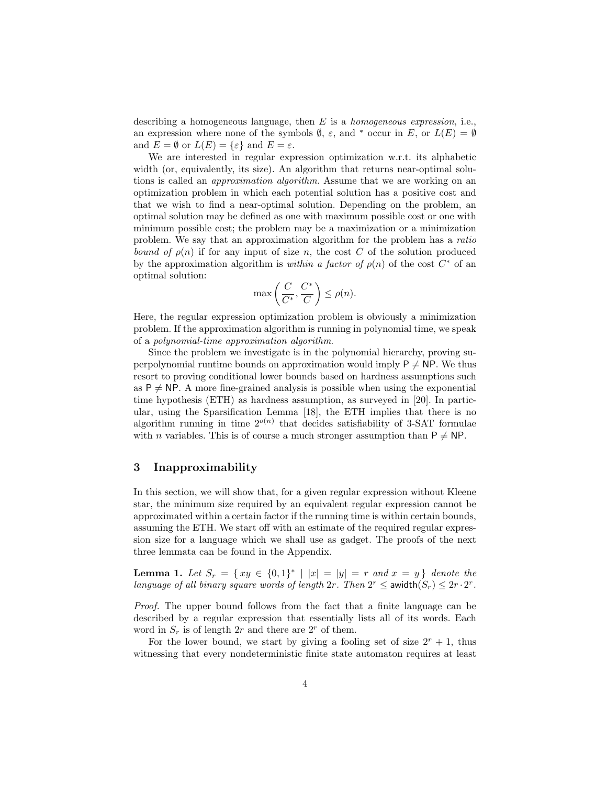describing a homogeneous language, then  $E$  is a *homogeneous expression*, i.e., an expression where none of the symbols  $\emptyset$ ,  $\varepsilon$ , and  $*$  occur in E, or  $L(E) = \emptyset$ and  $E = \emptyset$  or  $L(E) = {\varepsilon}$  and  $E = \varepsilon$ .

We are interested in regular expression optimization w.r.t. its alphabetic width (or, equivalently, its size). An algorithm that returns near-optimal solutions is called an *approximation algorithm*. Assume that we are working on an optimization problem in which each potential solution has a positive cost and that we wish to find a near-optimal solution. Depending on the problem, an optimal solution may be defined as one with maximum possible cost or one with minimum possible cost; the problem may be a maximization or a minimization problem. We say that an approximation algorithm for the problem has a ratio bound of  $\rho(n)$  if for any input of size n, the cost C of the solution produced by the approximation algorithm is within a factor of  $\rho(n)$  of the cost  $C^*$  of an optimal solution:

$$
\max\left(\frac{C}{C^*}, \frac{C^*}{C}\right) \le \rho(n).
$$

Here, the regular expression optimization problem is obviously a minimization problem. If the approximation algorithm is running in polynomial time, we speak of a polynomial-time approximation algorithm.

Since the problem we investigate is in the polynomial hierarchy, proving superpolynomial runtime bounds on approximation would imply  $P \neq NP$ . We thus resort to proving conditional lower bounds based on hardness assumptions such as  $P \neq NP$ . A more fine-grained analysis is possible when using the exponential time hypothesis (ETH) as hardness assumption, as surveyed in [20]. In particular, using the Sparsification Lemma [18], the ETH implies that there is no algorithm running in time  $2^{o(n)}$  that decides satisfiability of 3-SAT formulae with *n* variables. This is of course a much stronger assumption than  $P \neq NP$ .

#### 3 Inapproximability

In this section, we will show that, for a given regular expression without Kleene star, the minimum size required by an equivalent regular expression cannot be approximated within a certain factor if the running time is within certain bounds, assuming the ETH. We start off with an estimate of the required regular expression size for a language which we shall use as gadget. The proofs of the next three lemmata can be found in the Appendix.

**Lemma 1.** Let  $S_r = \{ xy \in \{0,1\}^* | |x| = |y| = r \text{ and } x = y \}$  denote the language of all binary square words of length  $2r$ . Then  $2^r \leq 2^r \cdot 2^r$  awidth $(S_r) \leq 2r \cdot 2^r$ .

Proof. The upper bound follows from the fact that a finite language can be described by a regular expression that essentially lists all of its words. Each word in  $S_r$  is of length 2r and there are 2<sup>r</sup> of them.

For the lower bound, we start by giving a fooling set of size  $2^r + 1$ , thus witnessing that every nondeterministic finite state automaton requires at least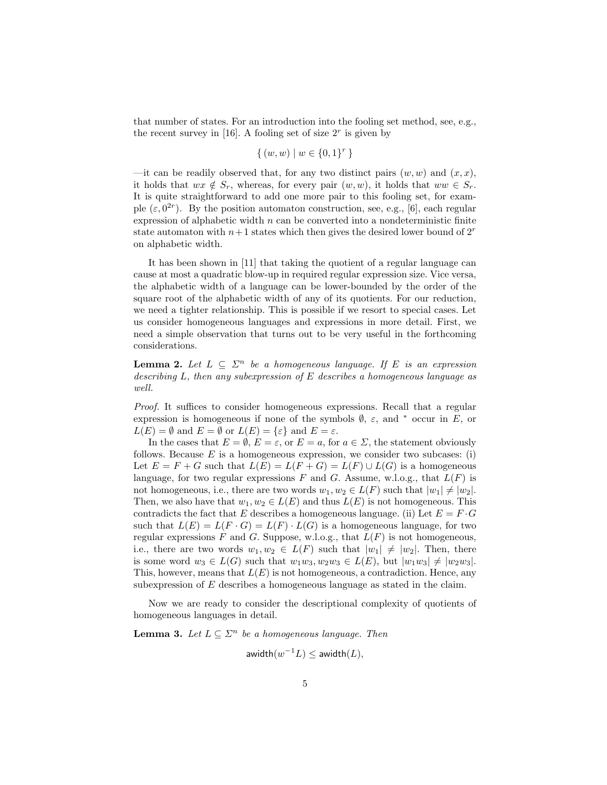that number of states. For an introduction into the fooling set method, see, e.g., the recent survey in [16]. A fooling set of size  $2<sup>r</sup>$  is given by

$$
\{(w, w) \mid w \in \{0, 1\}^r\}
$$

—it can be readily observed that, for any two distinct pairs  $(w, w)$  and  $(x, x)$ , it holds that  $wx \notin S_r$ , whereas, for every pair  $(w, w)$ , it holds that  $ww \in S_r$ . It is quite straightforward to add one more pair to this fooling set, for example  $(\varepsilon, 0^{2r})$ . By the position automaton construction, see, e.g., [6], each regular expression of alphabetic width  $n$  can be converted into a nondeterministic finite state automaton with  $n+1$  states which then gives the desired lower bound of  $2<sup>r</sup>$ on alphabetic width.

It has been shown in [11] that taking the quotient of a regular language can cause at most a quadratic blow-up in required regular expression size. Vice versa, the alphabetic width of a language can be lower-bounded by the order of the square root of the alphabetic width of any of its quotients. For our reduction, we need a tighter relationship. This is possible if we resort to special cases. Let us consider homogeneous languages and expressions in more detail. First, we need a simple observation that turns out to be very useful in the forthcoming considerations.

**Lemma 2.** Let  $L \subseteq \Sigma^n$  be a homogeneous language. If E is an expression describing L, then any subexpression of E describes a homogeneous language as well.

Proof. It suffices to consider homogeneous expressions. Recall that a regular expression is homogeneous if none of the symbols  $\emptyset$ ,  $\varepsilon$ , and  $*$  occur in E, or  $L(E) = \emptyset$  and  $E = \emptyset$  or  $L(E) = {\varepsilon}$  and  $E = \varepsilon$ .

In the cases that  $E = \emptyset$ ,  $E = \varepsilon$ , or  $E = a$ , for  $a \in \Sigma$ , the statement obviously follows. Because  $E$  is a homogeneous expression, we consider two subcases: (i) Let  $E = F + G$  such that  $L(E) = L(F + G) = L(F) \cup L(G)$  is a homogeneous language, for two regular expressions F and G. Assume, w.l.o.g., that  $L(F)$  is not homogeneous, i.e., there are two words  $w_1, w_2 \in L(F)$  such that  $|w_1| \neq |w_2|$ . Then, we also have that  $w_1, w_2 \in L(E)$  and thus  $L(E)$  is not homogeneous. This contradicts the fact that E describes a homogeneous language. (ii) Let  $E = F \cdot G$ such that  $L(E) = L(F \cdot G) = L(F) \cdot L(G)$  is a homogeneous language, for two regular expressions  $F$  and  $G$ . Suppose, w.l.o.g., that  $L(F)$  is not homogeneous, i.e., there are two words  $w_1, w_2 \in L(F)$  such that  $|w_1| \neq |w_2|$ . Then, there is some word  $w_3 \in L(G)$  such that  $w_1w_3, w_2w_3 \in L(E)$ , but  $|w_1w_3| \neq |w_2w_3|$ . This, however, means that  $L(E)$  is not homogeneous, a contradiction. Hence, any subexpression of E describes a homogeneous language as stated in the claim.

Now we are ready to consider the descriptional complexity of quotients of homogeneous languages in detail.

**Lemma 3.** Let  $L \subseteq \Sigma^n$  be a homogeneous language. Then

$$
\mathsf{awidth}(w^{-1}L) \leq \mathsf{awidth}(L),
$$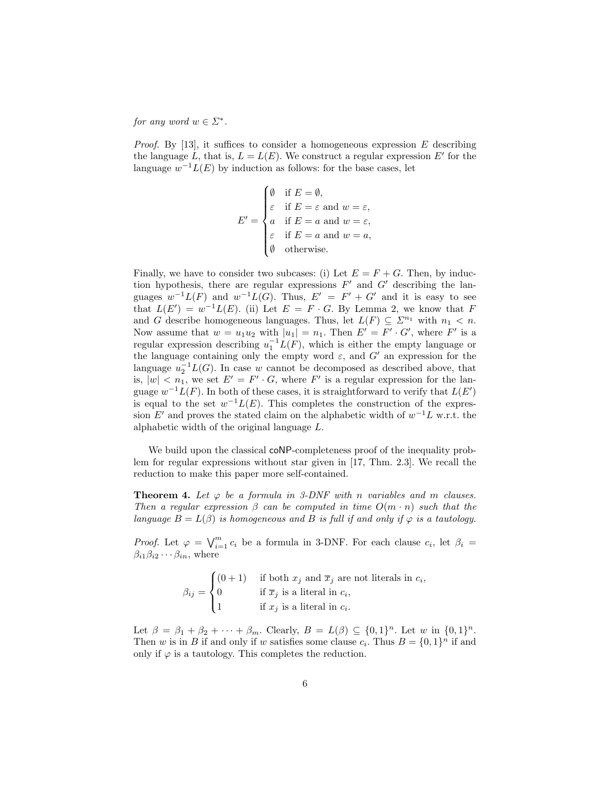for any word  $w \in \Sigma^*$ .

*Proof.* By [13], it suffices to consider a homogeneous expression  $E$  describing the language L, that is,  $L = L(E)$ . We construct a regular expression E' for the language  $w^{-1}L(E)$  by induction as follows: for the base cases, let

$$
E' = \begin{cases} \emptyset & \text{if } E = \emptyset, \\ \varepsilon & \text{if } E = \varepsilon \text{ and } w = \varepsilon, \\ a & \text{if } E = a \text{ and } w = \varepsilon, \\ \varepsilon & \text{if } E = a \text{ and } w = a, \\ \emptyset & \text{otherwise.} \end{cases}
$$

Finally, we have to consider two subcases: (i) Let  $E = F + G$ . Then, by induction hypothesis, there are regular expressions  $F'$  and  $G'$  describing the languages  $w^{-1}L(F)$  and  $w^{-1}L(G)$ . Thus,  $E' = F' + G'$  and it is easy to see that  $L(E') = w^{-1}L(E)$ . (ii) Let  $E = F \cdot G$ . By Lemma 2, we know that F and G describe homogeneous languages. Thus, let  $L(F) \subseteq \Sigma^{n_1}$  with  $n_1 < n$ . Now assume that  $w = u_1 u_2$  with  $|u_1| = n_1$ . Then  $E' = F' \cdot G'$ , where F' is a regular expression describing  $u_1^{-1}L(F)$ , which is either the empty language or the language containing only the empty word  $\varepsilon$ , and  $G'$  an expression for the language  $u_2^{-1}L(G)$ . In case w cannot be decomposed as described above, that is,  $|w| < n_1$ , we set  $E' = F' \cdot G$ , where F' is a regular expression for the language  $w^{-1}L(F)$ . In both of these cases, it is straightforward to verify that  $L(E')$ is equal to the set  $w^{-1}L(E)$ . This completes the construction of the expression E' and proves the stated claim on the alphabetic width of  $w^{-1}L$  w.r.t. the alphabetic width of the original language L.

We build upon the classical coNP-completeness proof of the inequality problem for regular expressions without star given in [17, Thm. 2.3]. We recall the reduction to make this paper more self-contained.

**Theorem 4.** Let  $\varphi$  be a formula in 3-DNF with n variables and m clauses. Then a regular expression  $\beta$  can be computed in time  $O(m \cdot n)$  such that the language  $B = L(\beta)$  is homogeneous and B is full if and only if  $\varphi$  is a tautology.

*Proof.* Let  $\varphi = \bigvee_{i=1}^{m} c_i$  be a formula in 3-DNF. For each clause  $c_i$ , let  $\beta_i =$  $\beta_{i1}\beta_{i2}\cdots \beta_{in}$ , where

$$
\beta_{ij} = \begin{cases}\n(0+1) & \text{if both } x_j \text{ and } \overline{x}_j \text{ are not literals in } c_i, \\
0 & \text{if } \overline{x}_j \text{ is a literal in } c_i, \\
1 & \text{if } x_j \text{ is a literal in } c_i.\n\end{cases}
$$

Let  $\beta = \beta_1 + \beta_2 + \cdots + \beta_m$ . Clearly,  $B = L(\beta) \subseteq \{0, 1\}^n$ . Let w in  $\{0, 1\}^n$ . Then w is in B if and only if w satisfies some clause  $c_i$ . Thus  $B = \{0, 1\}^n$  if and only if  $\varphi$  is a tautology. This completes the reduction.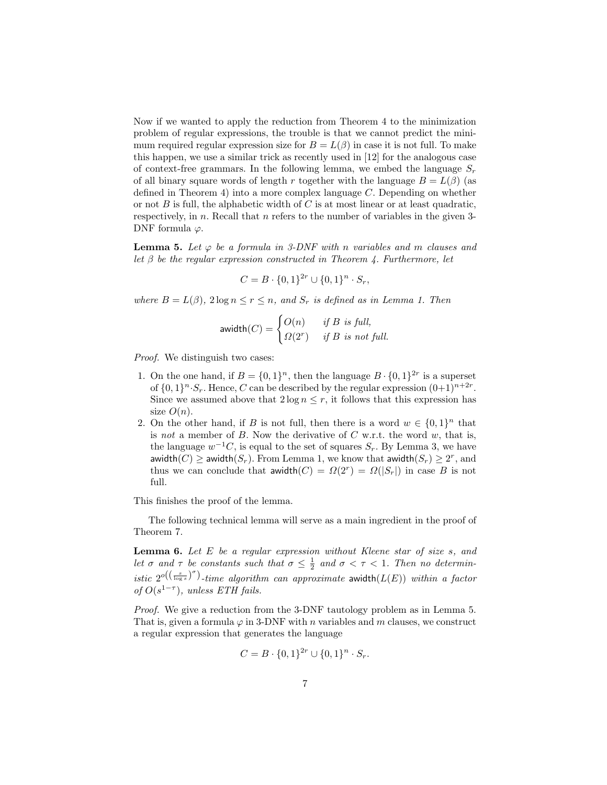Now if we wanted to apply the reduction from Theorem 4 to the minimization problem of regular expressions, the trouble is that we cannot predict the minimum required regular expression size for  $B = L(\beta)$  in case it is not full. To make this happen, we use a similar trick as recently used in [12] for the analogous case of context-free grammars. In the following lemma, we embed the language  $S_r$ of all binary square words of length r together with the language  $B = L(\beta)$  (as defined in Theorem 4) into a more complex language C. Depending on whether or not  $B$  is full, the alphabetic width of  $C$  is at most linear or at least quadratic, respectively, in  $n$ . Recall that  $n$  refers to the number of variables in the given 3-DNF formula  $\varphi$ .

**Lemma 5.** Let  $\varphi$  be a formula in 3-DNF with n variables and m clauses and let  $\beta$  be the regular expression constructed in Theorem 4. Furthermore, let

$$
C = B \cdot \{0, 1\}^{2r} \cup \{0, 1\}^n \cdot S_r,
$$

where  $B = L(\beta)$ ,  $2 \log n \le r \le n$ , and  $S_r$  is defined as in Lemma 1. Then

$$
\mathsf{awidth}(C) = \begin{cases} O(n) & \text{if } B \text{ is full,} \\ \Omega(2^r) & \text{if } B \text{ is not full.} \end{cases}
$$

Proof. We distinguish two cases:

- 1. On the one hand, if  $B = \{0, 1\}^n$ , then the language  $B \cdot \{0, 1\}^{2r}$  is a superset of  $\{0,1\}^n \cdot S_r$ . Hence, C can be described by the regular expression  $(0+1)^{n+2r}$ . Since we assumed above that  $2 \log n \leq r$ , it follows that this expression has size  $O(n)$ .
- 2. On the other hand, if B is not full, then there is a word  $w \in \{0,1\}^n$  that is not a member of  $B$ . Now the derivative of  $C$  w.r.t. the word  $w$ , that is, the language  $w^{-1}C$ , is equal to the set of squares  $S_r$ . By Lemma 3, we have awidth $(C) \ge$  awidth $(S_r)$ . From Lemma 1, we know that awidth $(S_r) \geq 2^r$ , and thus we can conclude that  $\text{awidth}(C) = \Omega(2^r) = \Omega(|S_r|)$  in case B is not full.

This finishes the proof of the lemma.

The following technical lemma will serve as a main ingredient in the proof of Theorem 7.

**Lemma 6.** Let  $E$  be a regular expression without Kleene star of size  $s$ , and let  $\sigma$  and  $\tau$  be constants such that  $\sigma \leq \frac{1}{2}$  and  $\sigma < \tau < 1$ . Then no deterministic  $2^{o((\frac{s}{\log s})^{\sigma})}$ -time algorithm can approximate awidth $(L(E))$  within a factor of  $O(s^{1-\tau})$ , unless ETH fails.

Proof. We give a reduction from the 3-DNF tautology problem as in Lemma 5. That is, given a formula  $\varphi$  in 3-DNF with *n* variables and *m* clauses, we construct a regular expression that generates the language

$$
C = B \cdot \{0, 1\}^{2r} \cup \{0, 1\}^n \cdot S_r.
$$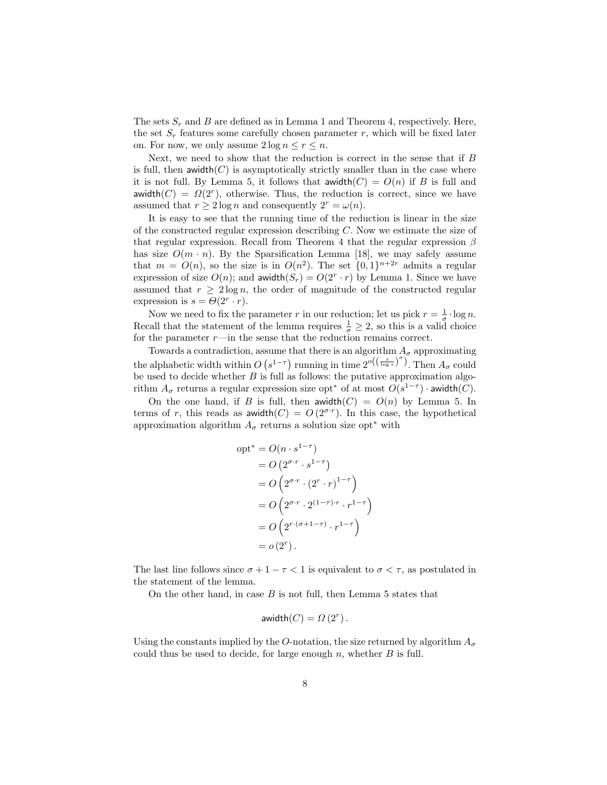The sets  $S_r$  and B are defined as in Lemma 1 and Theorem 4, respectively. Here, the set  $S_r$  features some carefully chosen parameter r, which will be fixed later on. For now, we only assume  $2 \log n \le r \le n$ .

Next, we need to show that the reduction is correct in the sense that if  $B$ is full, then awidth( $C$ ) is asymptotically strictly smaller than in the case where it is not full. By Lemma 5, it follows that  $\text{awidth}(C) = O(n)$  if B is full and awidth $(C) = \Omega(2^r)$ , otherwise. Thus, the reduction is correct, since we have assumed that  $r \geq 2 \log n$  and consequently  $2^r = \omega(n)$ .

It is easy to see that the running time of the reduction is linear in the size of the constructed regular expression describing  $C$ . Now we estimate the size of that regular expression. Recall from Theorem 4 that the regular expression  $\beta$ has size  $O(m \cdot n)$ . By the Sparsification Lemma [18], we may safely assume that  $m = O(n)$ , so the size is in  $O(n^2)$ . The set  $\{0,1\}^{n+2r}$  admits a regular expression of size  $O(n)$ ; and awidth $(S_r) = O(2^r \cdot r)$  by Lemma 1. Since we have assumed that  $r \geq 2 \log n$ , the order of magnitude of the constructed regular expression is  $s = \Theta(2^r \cdot r)$ .

Now we need to fix the parameter r in our reduction; let us pick  $r = \frac{1}{\sigma} \cdot \log n$ . Recall that the statement of the lemma requires  $\frac{1}{\sigma} \geq 2$ , so this is a valid choice for the parameter  $r$ —in the sense that the reduction remains correct.

Towards a contradiction, assume that there is an algorithm  $A_\sigma$  approximating the alphabetic width within  $O(s^{1-\tau})$  running in time  $2^{o((\frac{s}{\log s})^{\sigma})}$ . Then  $A_{\sigma}$  could be used to decide whether  $B$  is full as follows: the putative approximation algorithm  $A_{\sigma}$  returns a regular expression size opt<sup>\*</sup> of at most  $O(s^{1-\tau})$  · awidth(*C*).

On the one hand, if B is full, then awidth(C) =  $O(n)$  by Lemma 5. In terms of r, this reads as awidth $(C) = O(2^{\sigma \cdot r})$ . In this case, the hypothetical approximation algorithm  $A_{\sigma}$  returns a solution size opt<sup>\*</sup> with

$$
opt^* = O(n \cdot s^{1-\tau})
$$
  
=  $O(2^{\sigma \cdot r} \cdot s^{1-\tau})$   
=  $O(2^{\sigma \cdot r} \cdot (2^r \cdot r)^{1-\tau})$   
=  $O(2^{\sigma \cdot r} \cdot 2^{(1-\tau) \cdot r} \cdot r^{1-\tau})$   
=  $O(2^{r \cdot (\sigma+1-\tau)} \cdot r^{1-\tau})$   
=  $o(2^r)$ .

The last line follows since  $\sigma + 1 - \tau < 1$  is equivalent to  $\sigma < \tau$ , as postulated in the statement of the lemma.

On the other hand, in case  $B$  is not full, then Lemma 5 states that

$$
\mathsf{awidth}(C) = \Omega(2^r).
$$

Using the constants implied by the O-notation, the size returned by algorithm  $A_{\sigma}$ could thus be used to decide, for large enough  $n$ , whether  $B$  is full.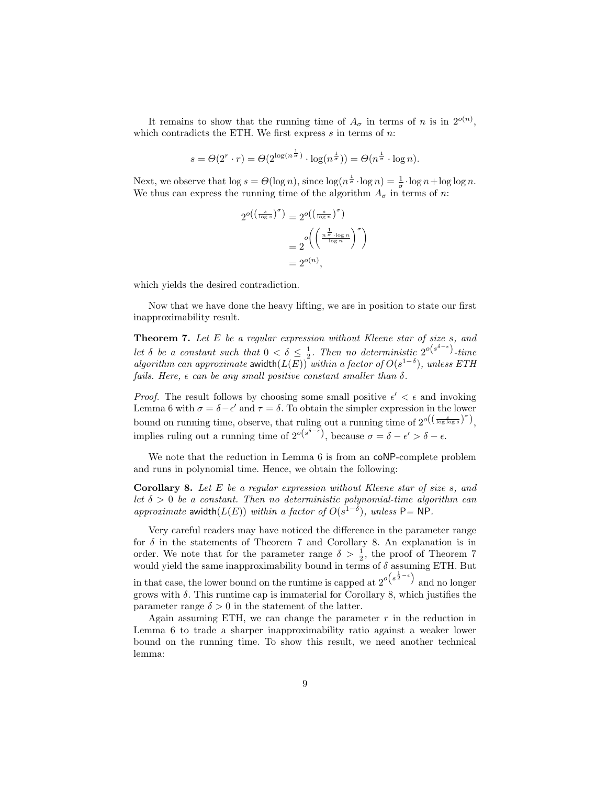It remains to show that the running time of  $A_{\sigma}$  in terms of n is in  $2^{o(n)}$ , which contradicts the ETH. We first express  $s$  in terms of  $n$ :

$$
s = \Theta(2^r \cdot r) = \Theta(2^{\log(n^{\frac{1}{\sigma}})} \cdot \log(n^{\frac{1}{\sigma}})) = \Theta(n^{\frac{1}{\sigma}} \cdot \log n).
$$

Next, we observe that  $\log s = \Theta(\log n)$ , since  $\log(n^{\frac{1}{\sigma}} \cdot \log n) = \frac{1}{\sigma} \cdot \log n + \log \log n$ . We thus can express the running time of the algorithm  $A_{\sigma}$  in terms of n:

$$
2^{o\left(\left(\frac{s}{\log s}\right)^{\sigma}\right)} = 2^{o\left(\left(\frac{s}{\log n}\right)^{\sigma}\right)}
$$

$$
= 2^{o\left(\left(\frac{n^{\frac{1}{\sigma}\cdot\log n}}{\log n}\right)^{\sigma}\right)}
$$

$$
= 2^{o(n)},
$$

which yields the desired contradiction.

Now that we have done the heavy lifting, we are in position to state our first inapproximability result.

**Theorem 7.** Let  $E$  be a regular expression without Kleene star of size  $s$ , and let  $\delta$  be a constant such that  $0 < \delta \leq \frac{1}{2}$ . Then no deterministic  $2^{o(s^{\delta-\epsilon})}$ -time algorithm can approximate awidth $(L(E))$  within a factor of  $O(s^{1-\delta})$ , unless ETH fails. Here,  $\epsilon$  can be any small positive constant smaller than  $\delta$ .

*Proof.* The result follows by choosing some small positive  $\epsilon' < \epsilon$  and invoking Lemma 6 with  $\sigma = \delta - \epsilon'$  and  $\tau = \delta$ . To obtain the simpler expression in the lower bound on running time, observe, that ruling out a running time of  $2^{o((\frac{s}{\log \log s})^{\sigma})}$ , implies ruling out a running time of  $2^{o(s^{\delta-\epsilon})}$ , because  $\sigma = \delta - \epsilon' > \delta - \epsilon$ .

We note that the reduction in Lemma 6 is from an coNP-complete problem and runs in polynomial time. Hence, we obtain the following:

Corollary 8. Let E be a regular expression without Kleene star of size s, and let  $\delta > 0$  be a constant. Then no deterministic polynomial-time algorithm can approximate awidth( $L(E)$ ) within a factor of  $O(s^{1-\delta})$ , unless P = NP.

Very careful readers may have noticed the difference in the parameter range for  $\delta$  in the statements of Theorem 7 and Corollary 8. An explanation is in order. We note that for the parameter range  $\delta > \frac{1}{2}$ , the proof of Theorem 7 would yield the same inapproximability bound in terms of  $\delta$  assuming ETH. But in that case, the lower bound on the runtime is capped at  $2^{o(s^{\frac{1}{2}-\epsilon})}$  and no longer grows with  $\delta$ . This runtime cap is immaterial for Corollary 8, which justifies the parameter range  $\delta > 0$  in the statement of the latter.

Again assuming ETH, we can change the parameter  $r$  in the reduction in Lemma 6 to trade a sharper inapproximability ratio against a weaker lower bound on the running time. To show this result, we need another technical lemma: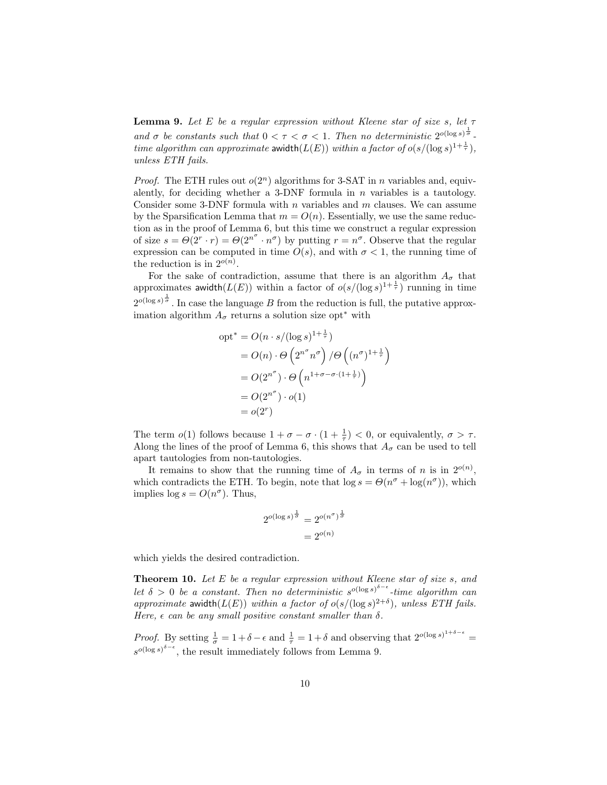**Lemma 9.** Let E be a regular expression without Kleene star of size s, let  $\tau$ and  $\sigma$  be constants such that  $0 < \tau < \sigma < 1$ . Then no deterministic  $2^{o(\log s)^{\frac{1}{\sigma}}}$ . time algorithm can approximate awidth $(L(E))$  within a factor of  $o(s/(\log s)^{1+\frac{1}{\tau}})$ , unless ETH fails.

*Proof.* The ETH rules out  $o(2^n)$  algorithms for 3-SAT in n variables and, equivalently, for deciding whether a 3-DNF formula in  $n$  variables is a tautology. Consider some 3-DNF formula with  $n$  variables and  $m$  clauses. We can assume by the Sparsification Lemma that  $m = O(n)$ . Essentially, we use the same reduction as in the proof of Lemma 6, but this time we construct a regular expression of size  $s = \Theta(2^{r} \cdot r) = \Theta(2^{n^{\sigma}} \cdot n^{\sigma})$  by putting  $r = n^{\sigma}$ . Observe that the regular expression can be computed in time  $O(s)$ , and with  $\sigma < 1$ , the running time of the reduction is in  $2^{o(n)}$ .

For the sake of contradiction, assume that there is an algorithm  $A_{\sigma}$  that approximates awidth $(L(E))$  within a factor of  $o(s/(\log s)^{1+\frac{1}{\tau}})$  running in time  $2^{o(\log s)^{\frac{1}{\sigma}}}$ . In case the language B from the reduction is full, the putative approximation algorithm  $A_{\sigma}$  returns a solution size opt<sup>\*</sup> with

$$
opt^* = O(n \cdot s/(\log s)^{1 + \frac{1}{\tau}})
$$
  
=  $O(n) \cdot \Theta\left(2^{n^{\sigma}} n^{\sigma}\right) / \Theta\left((n^{\sigma})^{1 + \frac{1}{\tau}}\right)$   
=  $O(2^{n^{\sigma}}) \cdot \Theta\left(n^{1 + \sigma - \sigma \cdot (1 + \frac{1}{\tau})}\right)$   
=  $O(2^{n^{\sigma}}) \cdot o(1)$   
=  $o(2^r)$ 

The term  $o(1)$  follows because  $1 + \sigma - \sigma \cdot (1 + \frac{1}{\tau}) < 0$ , or equivalently,  $\sigma > \tau$ . Along the lines of the proof of Lemma 6, this shows that  $A_{\sigma}$  can be used to tell apart tautologies from non-tautologies.

It remains to show that the running time of  $A_{\sigma}$  in terms of n is in  $2^{o(n)}$ , which contradicts the ETH. To begin, note that  $\log s = \Theta(n^{\sigma} + \log(n^{\sigma}))$ , which implies  $\log s = O(n^{\sigma})$ . Thus,

$$
2^{o(\log s)^{\frac{1}{\sigma}}} = 2^{o(n^{\sigma})^{\frac{1}{\sigma}}}
$$

$$
= 2^{o(n)}
$$

which yields the desired contradiction.

**Theorem 10.** Let  $E$  be a regular expression without Kleene star of size  $s$ , and let  $\delta > 0$  be a constant. Then no deterministic  $s^{o(\log s)^{\delta - \epsilon}}$ -time algorithm can approximate awidth $(L(E))$  within a factor of  $o(s/(\log s)^{2+\delta})$ , unless ETH fails. Here,  $\epsilon$  can be any small positive constant smaller than  $\delta$ .

*Proof.* By setting  $\frac{1}{\sigma} = 1 + \delta - \epsilon$  and  $\frac{1}{\tau} = 1 + \delta$  and observing that  $2^{o(\log s)^{1+\delta-\epsilon}} =$  $s^{\circ(\log s)^{\delta-\epsilon}}$ , the result immediately follows from Lemma 9.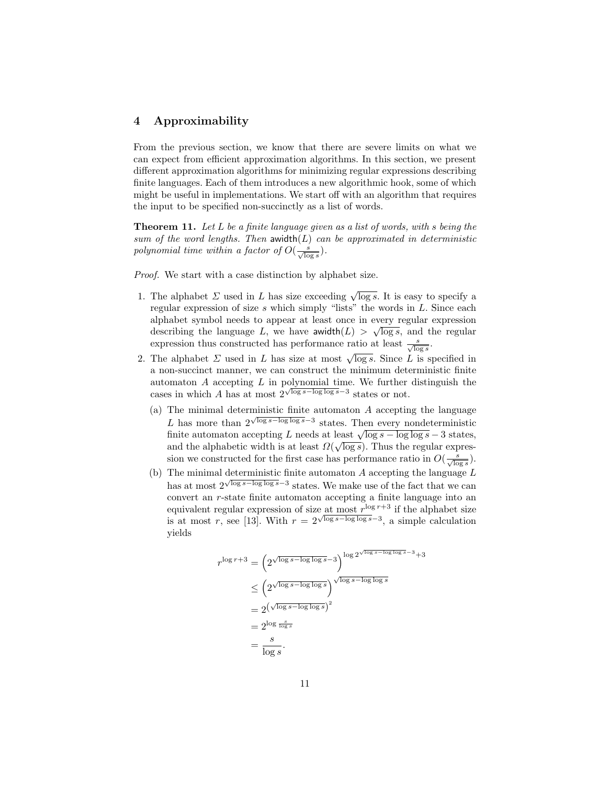## 4 Approximability

From the previous section, we know that there are severe limits on what we can expect from efficient approximation algorithms. In this section, we present different approximation algorithms for minimizing regular expressions describing finite languages. Each of them introduces a new algorithmic hook, some of which might be useful in implementations. We start off with an algorithm that requires the input to be specified non-succinctly as a list of words.

**Theorem 11.** Let  $L$  be a finite language given as a list of words, with s being the sum of the word lengths. Then  $a$ width $(L)$  can be approximated in deterministic polynomial time within a factor of  $O(\frac{s}{\sqrt{\log s}})$ .

Proof. We start with a case distinction by alphabet size.

- 1. The alphabet  $\Sigma$  used in L has size exceeding  $\sqrt{\log s}$ . It is easy to specify a regular expression of size  $s$  which simply "lists" the words in  $L$ . Since each alphabet symbol needs to appear at least once in every regular expression describing the language L, we have awidth $(L) > \sqrt{\log s}$ , and the regular expression thus constructed has performance ratio at least  $\frac{s}{\sqrt{\log s}}$ .
- 2. The alphabet  $\Sigma$  used in L has size at most  $\sqrt{\log s}$ . Since L is specified in a non-succinct manner, we can construct the minimum deterministic finite automaton A accepting L in polynomial time. We further distinguish the cases in which A has at most  $2^{\sqrt{\log s - \log \log s}}$  states or not.
	- (a) The minimal deterministic finite automaton  $A$  accepting the language L has more than  $2^{\sqrt{\log s - \log \log s}}$  states. Then every nondeterministic L has more than 2 v s or states. Then every nondeterministic finite automaton accepting L needs at least  $\sqrt{\log s} - \log \log s - 3$  states, and the alphabetic width is at least  $\Omega(\sqrt{\log s})$ . Thus the regular expression we constructed for the first case has performance ratio in  $O(\frac{s}{\sqrt{\log s}})$ .
	- (b) The minimal deterministic finite automaton A accepting the language  $L$ has at most  $2^{\sqrt{\log s - \log \log s}}$  states. We make use of the fact that we can convert an r-state finite automaton accepting a finite language into an equivalent regular expression of size at most  $r^{\log r+3}$  if the alphabet size is at most r, see [13]. With  $r = 2^{\sqrt{\log s - \log \log s} - 3}$ , a simple calculation yields

$$
r^{\log r+3} = \left(2^{\sqrt{\log s - \log \log s} - 3}\right)^{\log 2^{\sqrt{\log s - \log \log s} - 3} + 3}
$$
  
\n
$$
\leq \left(2^{\sqrt{\log s - \log \log s}}\right)^{\sqrt{\log s - \log \log s}}
$$
  
\n
$$
= 2^{\left(\sqrt{\log s - \log \log s}\right)^2}
$$
  
\n
$$
= 2^{\log \frac{s}{\log s}}
$$
  
\n
$$
= \frac{s}{\log s}.
$$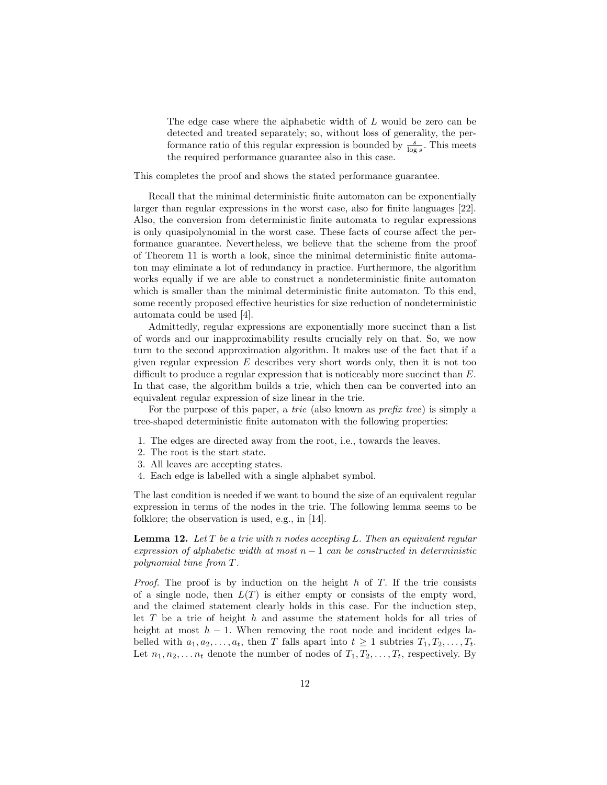The edge case where the alphabetic width of L would be zero can be detected and treated separately; so, without loss of generality, the performance ratio of this regular expression is bounded by  $\frac{s}{\log s}$ . This meets the required performance guarantee also in this case.

This completes the proof and shows the stated performance guarantee.

Recall that the minimal deterministic finite automaton can be exponentially larger than regular expressions in the worst case, also for finite languages [22]. Also, the conversion from deterministic finite automata to regular expressions is only quasipolynomial in the worst case. These facts of course affect the performance guarantee. Nevertheless, we believe that the scheme from the proof of Theorem 11 is worth a look, since the minimal deterministic finite automaton may eliminate a lot of redundancy in practice. Furthermore, the algorithm works equally if we are able to construct a nondeterministic finite automaton which is smaller than the minimal deterministic finite automaton. To this end, some recently proposed effective heuristics for size reduction of nondeterministic automata could be used [4].

Admittedly, regular expressions are exponentially more succinct than a list of words and our inapproximability results crucially rely on that. So, we now turn to the second approximation algorithm. It makes use of the fact that if a given regular expression  $E$  describes very short words only, then it is not too difficult to produce a regular expression that is noticeably more succinct than E. In that case, the algorithm builds a trie, which then can be converted into an equivalent regular expression of size linear in the trie.

For the purpose of this paper, a trie (also known as prefix tree) is simply a tree-shaped deterministic finite automaton with the following properties:

- 1. The edges are directed away from the root, i.e., towards the leaves.
- 2. The root is the start state.
- 3. All leaves are accepting states.
- 4. Each edge is labelled with a single alphabet symbol.

The last condition is needed if we want to bound the size of an equivalent regular expression in terms of the nodes in the trie. The following lemma seems to be folklore; the observation is used, e.g., in [14].

**Lemma 12.** Let  $T$  be a trie with n nodes accepting L. Then an equivalent regular expression of alphabetic width at most  $n-1$  can be constructed in deterministic polynomial time from T.

*Proof.* The proof is by induction on the height  $h$  of  $T$ . If the trie consists of a single node, then  $L(T)$  is either empty or consists of the empty word, and the claimed statement clearly holds in this case. For the induction step, let  $T$  be a trie of height  $h$  and assume the statement holds for all tries of height at most  $h - 1$ . When removing the root node and incident edges labelled with  $a_1, a_2, \ldots, a_t$ , then T falls apart into  $t \geq 1$  subtries  $T_1, T_2, \ldots, T_t$ . Let  $n_1, n_2, \ldots n_t$  denote the number of nodes of  $T_1, T_2, \ldots, T_t$ , respectively. By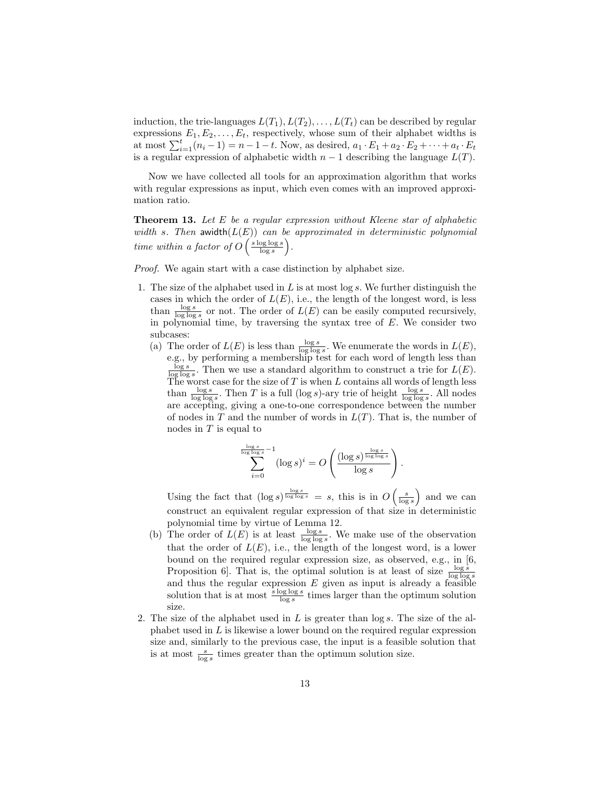induction, the trie-languages  $L(T_1), L(T_2), \ldots, L(T_t)$  can be described by regular expressions  $E_1, E_2, \ldots, E_t$ , respectively, whose sum of their alphabet widths is at most  $\sum_{i=1}^{t} (n_i - 1) = n - 1 - t$ . Now, as desired,  $a_1 \cdot E_1 + a_2 \cdot E_2 + \cdots + a_t \cdot E_t$ is a regular expression of alphabetic width  $n-1$  describing the language  $L(T)$ .

Now we have collected all tools for an approximation algorithm that works with regular expressions as input, which even comes with an improved approximation ratio.

**Theorem 13.** Let  $E$  be a regular expression without Kleene star of alphabetic width s. Then awidth $(L(E))$  can be approximated in deterministic polynomial time within a factor of  $O\left(\frac{s \log \log s}{\log s}\right)$ .

Proof. We again start with a case distinction by alphabet size.

- 1. The size of the alphabet used in  $L$  is at most log  $s$ . We further distinguish the cases in which the order of  $L(E)$ , i.e., the length of the longest word, is less than  $\frac{\log s}{\log \log s}$  or not. The order of  $L(E)$  can be easily computed recursively, in polynomial time, by traversing the syntax tree of  $E$ . We consider two subcases:
	- (a) The order of  $L(E)$  is less than  $\frac{\log s}{\log \log s}$ . We enumerate the words in  $L(E)$ , e.g., by performing a membership test for each word of length less than  $\frac{\log s}{\log \log s}$ . Then we use a standard algorithm to construct a trie for  $L(E)$ . The worst case for the size of  $T$  is when  $L$  contains all words of length less than  $\frac{\log s}{\log \log s}$ . Then T is a full (log s)-ary trie of height  $\frac{\log s}{\log \log s}$ . All nodes are accepting, giving a one-to-one correspondence between the number of nodes in  $T$  and the number of words in  $L(T)$ . That is, the number of nodes in  $T$  is equal to

$$
\sum_{i=0}^{\frac{\log s}{\log \log s} - 1} (\log s)^i = O\left(\frac{(\log s)^{\frac{\log s}{\log \log s}}}{\log s}\right)
$$

.

Using the fact that  $(\log s)^{\frac{\log s}{\log \log s}} = s$ , this is in  $O\left(\frac{s}{\log s}\right)$  and we can construct an equivalent regular expression of that size in deterministic polynomial time by virtue of Lemma 12.

- (b) The order of  $L(E)$  is at least  $\frac{\log s}{\log \log s}$ . We make use of the observation that the order of  $L(E)$ , i.e., the length of the longest word, is a lower bound on the required regular expression size, as observed, e.g., in [6, Proposition 6. That is, the optimal solution is at least of size  $\frac{\log s}{\log \log s}$ and thus the regular expression  $E$  given as input is already a feasible solution that is at most  $\frac{s \log \log s}{\log s}$  times larger than the optimum solution size.
- 2. The size of the alphabet used in  $L$  is greater than  $\log s$ . The size of the alphabet used in L is likewise a lower bound on the required regular expression size and, similarly to the previous case, the input is a feasible solution that is at most  $\frac{s}{\log s}$  times greater than the optimum solution size.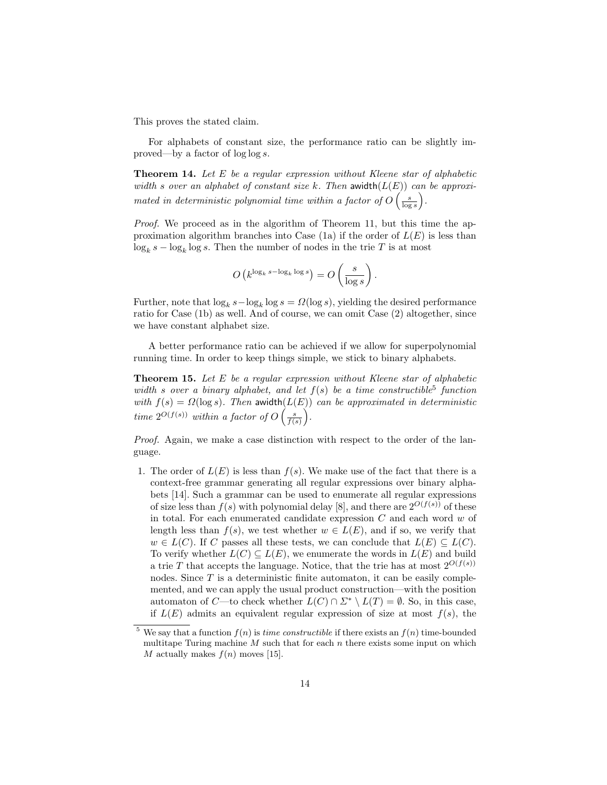This proves the stated claim.

For alphabets of constant size, the performance ratio can be slightly improved—by a factor of log log s.

**Theorem 14.** Let  $E$  be a regular expression without Kleene star of alphabetic width s over an alphabet of constant size k. Then awidth $(L(E))$  can be approximated in deterministic polynomial time within a factor of  $O\left(\frac{s}{\log s}\right)$ .

Proof. We proceed as in the algorithm of Theorem 11, but this time the approximation algorithm branches into Case  $(1a)$  if the order of  $L(E)$  is less than  $\log_k s - \log_k \log s$ . Then the number of nodes in the trie T is at most

$$
O\left(k^{\log_k s - \log_k \log s}\right) = O\left(\frac{s}{\log s}\right)
$$

.

Further, note that  $\log_k s - \log_k \log s = \Omega(\log s)$ , yielding the desired performance ratio for Case (1b) as well. And of course, we can omit Case (2) altogether, since we have constant alphabet size.

A better performance ratio can be achieved if we allow for superpolynomial running time. In order to keep things simple, we stick to binary alphabets.

**Theorem 15.** Let  $E$  be a regular expression without Kleene star of alphabetic width s over a binary alphabet, and let  $f(s)$  be a time constructible<sup>5</sup> function with  $f(s) = \Omega(\log s)$ . Then awidth $(L(E))$  can be approximated in deterministic time  $2^{O(f(s))}$  within a factor of  $O\left(\frac{s}{f(s)}\right)$ .

Proof. Again, we make a case distinction with respect to the order of the language.

1. The order of  $L(E)$  is less than  $f(s)$ . We make use of the fact that there is a context-free grammar generating all regular expressions over binary alphabets [14]. Such a grammar can be used to enumerate all regular expressions of size less than  $f(s)$  with polynomial delay [8], and there are  $2^{O(f(s))}$  of these in total. For each enumerated candidate expression  $C$  and each word  $w$  of length less than  $f(s)$ , we test whether  $w \in L(E)$ , and if so, we verify that  $w \in L(C)$ . If C passes all these tests, we can conclude that  $L(E) \subseteq L(C)$ . To verify whether  $L(C) \subseteq L(E)$ , we enumerate the words in  $L(E)$  and build a trie T that accepts the language. Notice, that the trie has at most  $2^{O(f(s))}$ nodes. Since  $T$  is a deterministic finite automaton, it can be easily complemented, and we can apply the usual product construction—with the position automaton of C—to check whether  $L(C) \cap \Sigma^* \setminus L(T) = \emptyset$ . So, in this case, if  $L(E)$  admits an equivalent regular expression of size at most  $f(s)$ , the

<sup>&</sup>lt;sup>5</sup> We say that a function  $f(n)$  is *time constructible* if there exists an  $f(n)$  time-bounded multitape Turing machine  $M$  such that for each  $n$  there exists some input on which M actually makes  $f(n)$  moves [15].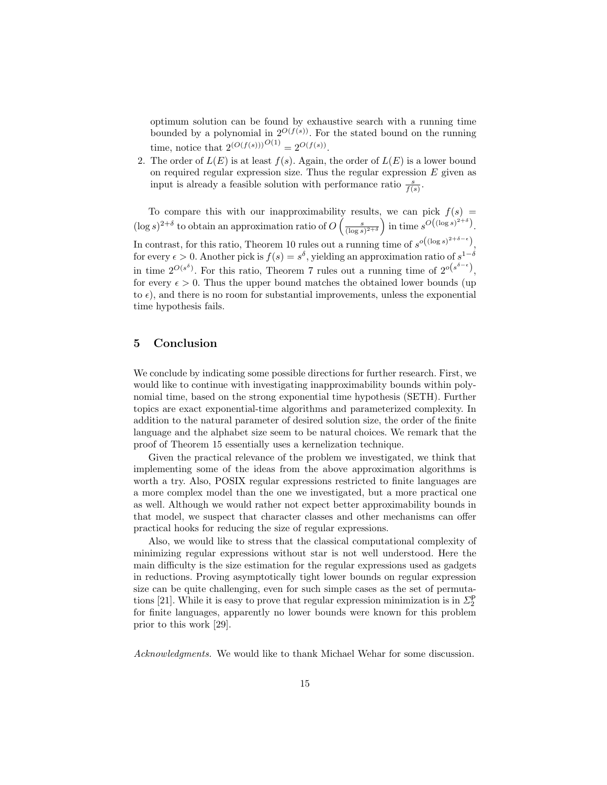optimum solution can be found by exhaustive search with a running time bounded by a polynomial in  $2^{O(f(s))}$ . For the stated bound on the running time, notice that  $2^{(O(f(s)))^{O(1)}} = 2^{O(f(s))}$ .

2. The order of  $L(E)$  is at least  $f(s)$ . Again, the order of  $L(E)$  is a lower bound on required regular expression size. Thus the regular expression  $E$  given as input is already a feasible solution with performance ratio  $\frac{s}{f(s)}$ .

To compare this with our inapproximability results, we can pick  $f(s)$  $(\log s)^{2+\delta}$  to obtain an approximation ratio of  $O\left(\frac{s}{(\log s)^{2+\delta}}\right)$  in time  $s^{O((\log s)^{2+\delta})}$ . In contrast, for this ratio, Theorem 10 rules out a running time of  $s^{o((\log s)^{2+\delta-\epsilon})}$ , for every  $\epsilon > 0$ . Another pick is  $f(s) = s^{\delta}$ , yielding an approximation ratio of  $s^{1-\delta}$ in time  $2^{O(s^{\delta})}$ . For this ratio, Theorem 7 rules out a running time of  $2^{O(s^{\delta-\epsilon})}$ , for every  $\epsilon > 0$ . Thus the upper bound matches the obtained lower bounds (up to  $\epsilon$ ), and there is no room for substantial improvements, unless the exponential time hypothesis fails.

# 5 Conclusion

We conclude by indicating some possible directions for further research. First, we would like to continue with investigating inapproximability bounds within polynomial time, based on the strong exponential time hypothesis (SETH). Further topics are exact exponential-time algorithms and parameterized complexity. In addition to the natural parameter of desired solution size, the order of the finite language and the alphabet size seem to be natural choices. We remark that the proof of Theorem 15 essentially uses a kernelization technique.

Given the practical relevance of the problem we investigated, we think that implementing some of the ideas from the above approximation algorithms is worth a try. Also, POSIX regular expressions restricted to finite languages are a more complex model than the one we investigated, but a more practical one as well. Although we would rather not expect better approximability bounds in that model, we suspect that character classes and other mechanisms can offer practical hooks for reducing the size of regular expressions.

Also, we would like to stress that the classical computational complexity of minimizing regular expressions without star is not well understood. Here the main difficulty is the size estimation for the regular expressions used as gadgets in reductions. Proving asymptotically tight lower bounds on regular expression size can be quite challenging, even for such simple cases as the set of permutations [21]. While it is easy to prove that regular expression minimization is in  $\Sigma_2^{\mathsf{P}}$ for finite languages, apparently no lower bounds were known for this problem prior to this work [29].

Acknowledgments. We would like to thank Michael Wehar for some discussion.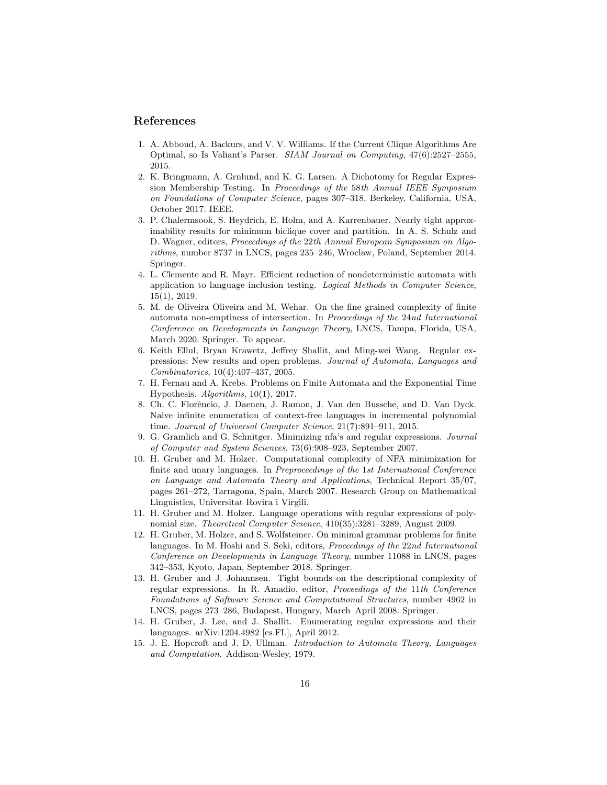#### References

- 1. A. Abboud, A. Backurs, and V. V. Williams. If the Current Clique Algorithms Are Optimal, so Is Valiant's Parser. SIAM Journal on Computing, 47(6):2527–2555, 2015.
- 2. K. Bringmann, A. Grnlund, and K. G. Larsen. A Dichotomy for Regular Expression Membership Testing. In Proceedings of the 58th Annual IEEE Symposium on Foundations of Computer Science, pages 307–318, Berkeley, California, USA, October 2017. IEEE.
- 3. P. Chalermsook, S. Heydrich, E. Holm, and A. Karrenbauer. Nearly tight approximability results for minimum biclique cover and partition. In A. S. Schulz and D. Wagner, editors, Proceedings of the 22th Annual European Symposium on Algorithms, number 8737 in LNCS, pages 235–246, Wroclaw, Poland, September 2014. Springer.
- 4. L. Clemente and R. Mayr. Efficient reduction of nondeterministic automata with application to language inclusion testing. Logical Methods in Computer Science, 15(1), 2019.
- 5. M. de Oliveira Oliveira and M. Wehar. On the fine grained complexity of finite automata non-emptiness of intersection. In Proceedings of the 24nd International Conference on Developments in Language Theory, LNCS, Tampa, Florida, USA, March 2020. Springer. To appear.
- 6. Keith Ellul, Bryan Krawetz, Jeffrey Shallit, and Ming-wei Wang. Regular expressions: New results and open problems. Journal of Automata, Languages and Combinatorics, 10(4):407–437, 2005.
- 7. H. Fernau and A. Krebs. Problems on Finite Automata and the Exponential Time Hypothesis. Algorithms, 10(1), 2017.
- 8. Ch. C. Florˆencio, J. Daenen, J. Ramon, J. Van den Bussche, and D. Van Dyck. Naive infinite enumeration of context-free languages in incremental polynomial time. Journal of Universal Computer Science, 21(7):891–911, 2015.
- 9. G. Gramlich and G. Schnitger. Minimizing nfa's and regular expressions. Journal of Computer and System Sciences, 73(6):908–923, September 2007.
- 10. H. Gruber and M. Holzer. Computational complexity of NFA minimization for finite and unary languages. In Preproceedings of the 1st International Conference on Language and Automata Theory and Applications, Technical Report 35/07, pages 261–272, Tarragona, Spain, March 2007. Research Group on Mathematical Linguistics, Universitat Rovira i Virgili.
- 11. H. Gruber and M. Holzer. Language operations with regular expressions of polynomial size. Theoretical Computer Science, 410(35):3281–3289, August 2009.
- 12. H. Gruber, M. Holzer, and S. Wolfsteiner. On minimal grammar problems for finite languages. In M. Hoshi and S. Seki, editors, Proceedings of the 22nd International Conference on Developments in Language Theory, number 11088 in LNCS, pages 342–353, Kyoto, Japan, September 2018. Springer.
- 13. H. Gruber and J. Johannsen. Tight bounds on the descriptional complexity of regular expressions. In R. Amadio, editor, Proceedings of the 11th Conference Foundations of Software Science and Computational Structures, number 4962 in LNCS, pages 273–286, Budapest, Hungary, March–April 2008. Springer.
- 14. H. Gruber, J. Lee, and J. Shallit. Enumerating regular expressions and their languages. arXiv:1204.4982 [cs.FL], April 2012.
- 15. J. E. Hopcroft and J. D. Ullman. Introduction to Automata Theory, Languages and Computation. Addison-Wesley, 1979.